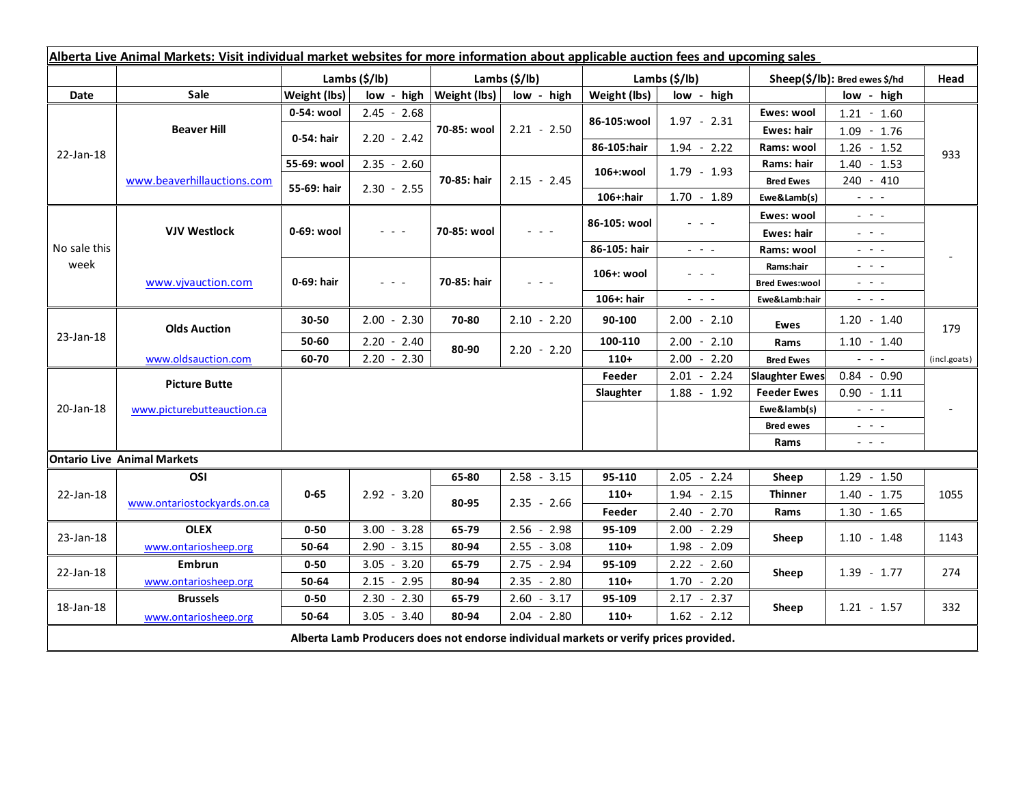| Alberta Live Animal Markets: Visit individual market websites for more information about applicable auction fees and upcoming sales |                                    |               |                                                                                                                           |                              |                 |                           |                                                                                                                           |                                     |                                                                                                                           |              |
|-------------------------------------------------------------------------------------------------------------------------------------|------------------------------------|---------------|---------------------------------------------------------------------------------------------------------------------------|------------------------------|-----------------|---------------------------|---------------------------------------------------------------------------------------------------------------------------|-------------------------------------|---------------------------------------------------------------------------------------------------------------------------|--------------|
|                                                                                                                                     |                                    | Lambs (\$/lb) |                                                                                                                           | Lambs $(S/lb)$               |                 | Lambs $(\frac{2}{3})$ lb) |                                                                                                                           | Sheep(\$/lb): Bred ewes \$/hd       |                                                                                                                           | Head         |
| Date                                                                                                                                | <b>Sale</b>                        | Weight (lbs)  |                                                                                                                           | $low - high   Weight (lbs) $ | low - high      | Weight (lbs)              | low - high                                                                                                                |                                     | low - high                                                                                                                |              |
| 22-Jan-18                                                                                                                           | <b>Beaver Hill</b>                 | 0-54: wool    | $2.45 - 2.68$                                                                                                             | 70-85: wool                  | $2.21 - 2.50$   | 86-105:wool               | $1.97 - 2.31$                                                                                                             | Ewes: wool                          | $1.21 - 1.60$                                                                                                             | 933          |
|                                                                                                                                     |                                    | 0-54: hair    | $2.20 - 2.42$                                                                                                             |                              |                 |                           |                                                                                                                           | <b>Ewes: hair</b>                   | $1.09 - 1.76$                                                                                                             |              |
|                                                                                                                                     |                                    |               |                                                                                                                           |                              |                 | 86-105:hair               | $1.94 - 2.22$                                                                                                             | Rams: wool                          | $1.26 - 1.52$                                                                                                             |              |
|                                                                                                                                     | www.beaverhillauctions.com         | 55-69: wool   | $2.35 - 2.60$                                                                                                             | 70-85: hair                  | $2.15 - 2.45$   | 106+:wool                 | 1.79 - 1.93                                                                                                               | Rams: hair                          | $1.40 - 1.53$                                                                                                             |              |
|                                                                                                                                     |                                    | 55-69: hair   | $2.30 - 2.55$                                                                                                             |                              |                 |                           |                                                                                                                           | <b>Bred Ewes</b>                    | $240 - 410$                                                                                                               |              |
|                                                                                                                                     |                                    |               |                                                                                                                           |                              |                 | 106+:hair                 | $1.70 - 1.89$                                                                                                             | Ewe&Lamb(s)                         | $\frac{1}{2} \left( \frac{1}{2} \right) \left( \frac{1}{2} \right) \left( \frac{1}{2} \right)$                            |              |
| No sale this<br>week                                                                                                                | <b>VJV Westlock</b>                | 0-69: wool    | $\frac{1}{2} \left( \frac{1}{2} \right) \left( \frac{1}{2} \right) \left( \frac{1}{2} \right) \left( \frac{1}{2} \right)$ | 70-85: wool                  |                 | 86-105: wool              | - - -                                                                                                                     | Ewes: wool                          | $\frac{1}{2} \left( \frac{1}{2} \right) = \frac{1}{2} \left( \frac{1}{2} \right)$                                         |              |
|                                                                                                                                     |                                    |               |                                                                                                                           |                              |                 |                           |                                                                                                                           | <b>Ewes: hair</b>                   | $\frac{1}{2} \left( \frac{1}{2} \right) = \frac{1}{2} \left( \frac{1}{2} \right)$                                         |              |
|                                                                                                                                     |                                    |               |                                                                                                                           |                              |                 | 86-105: hair              | $\frac{1}{2} \left( \frac{1}{2} \right) \left( \frac{1}{2} \right) \left( \frac{1}{2} \right) \left( \frac{1}{2} \right)$ | Rams: wool                          | $  -$                                                                                                                     |              |
|                                                                                                                                     | www.vivauction.com                 | 0-69: hair    | $\frac{1}{2} \left( \frac{1}{2} \right) = \frac{1}{2} \left( \frac{1}{2} \right)$                                         | 70-85: hair                  | $  -$           | 106+: wool                | - - -                                                                                                                     | Rams:hair                           | $\frac{1}{2} \left( \frac{1}{2} \right) = \frac{1}{2} \left( \frac{1}{2} \right) = \frac{1}{2}$                           |              |
|                                                                                                                                     |                                    |               |                                                                                                                           |                              |                 |                           |                                                                                                                           | <b>Bred Ewes:wool</b>               | $\frac{1}{2} \left( \frac{1}{2} \right) = \frac{1}{2} \left( \frac{1}{2} \right)$                                         |              |
|                                                                                                                                     |                                    |               |                                                                                                                           |                              |                 | 106+: hair                | $\omega_{\rm{eff}}$ and $\omega_{\rm{eff}}$                                                                               | Ewe&Lamb:hair                       | $\frac{1}{2} \left( \frac{1}{2} \right) \left( \frac{1}{2} \right) \left( \frac{1}{2} \right) \left( \frac{1}{2} \right)$ |              |
| 23-Jan-18                                                                                                                           | <b>Olds Auction</b>                | 30-50         | $2.00 - 2.30$                                                                                                             | 70-80                        | $2.10 - 2.20$   | 90-100                    | $2.00 - 2.10$                                                                                                             | Ewes                                | $1.20 - 1.40$                                                                                                             | 179          |
|                                                                                                                                     |                                    | 50-60         | $2.20 - 2.40$                                                                                                             | 80-90                        | $2.20 - 2.20$   | 100-110                   | $2.00 - 2.10$                                                                                                             | Rams                                | $1.10 - 1.40$                                                                                                             |              |
|                                                                                                                                     | www.oldsauction.com                | 60-70         | $2.20 - 2.30$                                                                                                             |                              |                 | $110+$                    | $2.00 - 2.20$                                                                                                             | <b>Bred Ewes</b>                    | $\frac{1}{2} \left( \frac{1}{2} \right) \left( \frac{1}{2} \right) \left( \frac{1}{2} \right)$                            | (incl.goats) |
| 20-Jan-18                                                                                                                           | <b>Picture Butte</b>               |               |                                                                                                                           |                              |                 | Feeder                    | $2.01 - 2.24$                                                                                                             | <b>Slaughter Ewes</b>               | $0.84 - 0.90$                                                                                                             |              |
|                                                                                                                                     | www.picturebutteauction.ca         |               |                                                                                                                           |                              |                 | Slaughter                 | $1.88 - 1.92$                                                                                                             | <b>Feeder Ewes</b><br>$0.90 - 1.11$ |                                                                                                                           |              |
|                                                                                                                                     |                                    |               |                                                                                                                           |                              |                 |                           |                                                                                                                           | Ewe&lamb(s)                         | $\mathbb{L}^2 \times \mathbb{L}^2$                                                                                        |              |
|                                                                                                                                     |                                    |               |                                                                                                                           |                              |                 |                           |                                                                                                                           | <b>Bred ewes</b>                    | $\omega_{\rm c}$ , $\omega_{\rm c}$ , $\omega_{\rm c}$                                                                    |              |
|                                                                                                                                     |                                    |               |                                                                                                                           |                              |                 |                           |                                                                                                                           | Rams                                | $\frac{1}{2} \left( \frac{1}{2} \right) \frac{1}{2} \left( \frac{1}{2} \right) \frac{1}{2} \left( \frac{1}{2} \right)$    |              |
|                                                                                                                                     | <b>Ontario Live Animal Markets</b> |               |                                                                                                                           |                              |                 |                           |                                                                                                                           |                                     |                                                                                                                           |              |
| 22-Jan-18                                                                                                                           | OSI                                | $0 - 65$      | $2.92 - 3.20$                                                                                                             | 65-80                        | $2.58 - 3.15$   | 95-110                    | $2.05 - 2.24$                                                                                                             | Sheep                               | $1.29 - 1.50$                                                                                                             | 1055         |
|                                                                                                                                     | www.ontariostockyards.on.ca        |               |                                                                                                                           | 80-95                        | $2.35 - 2.66$   | $110+$                    | $1.94 - 2.15$                                                                                                             | <b>Thinner</b><br>Rams              | $1.40 - 1.75$                                                                                                             |              |
|                                                                                                                                     |                                    |               |                                                                                                                           |                              |                 | Feeder                    | $2.40 - 2.70$                                                                                                             |                                     | $1.30 - 1.65$                                                                                                             |              |
| 23-Jan-18                                                                                                                           | <b>OLEX</b>                        | $0 - 50$      | $3.00 - 3.28$                                                                                                             | 65-79                        | $2.56 - 2.98$   | 95-109                    | $2.00 - 2.29$                                                                                                             | Sheep                               | $1.10 - 1.48$                                                                                                             | 1143         |
|                                                                                                                                     | www.ontariosheep.org               | 50-64         | 2.90<br>$-3.15$                                                                                                           | 80-94                        | 2.55<br>$-3.08$ | $110+$                    | $1.98 - 2.09$                                                                                                             |                                     |                                                                                                                           |              |
| 22-Jan-18                                                                                                                           | Embrun                             | $0 - 50$      | $3.05 - 3.20$                                                                                                             | 65-79                        | $2.75 - 2.94$   | 95-109                    | $2.22 - 2.60$                                                                                                             | Sheep                               | $1.39 - 1.77$                                                                                                             | 274          |
|                                                                                                                                     | www.ontariosheep.org               | 50-64         | $2.15 - 2.95$                                                                                                             | 80-94                        | $2.35 - 2.80$   | $110+$                    | $1.70 - 2.20$                                                                                                             |                                     |                                                                                                                           |              |
| 18-Jan-18                                                                                                                           | <b>Brussels</b>                    | $0 - 50$      | $-2.30$<br>2.30                                                                                                           | 65-79                        | $2.60 - 3.17$   | 95-109                    | $2.17 - 2.37$                                                                                                             | Sheep                               | $1.21 - 1.57$                                                                                                             | 332          |
|                                                                                                                                     | www.ontariosheep.org               | 50-64         | $3.05 - 3.40$                                                                                                             | 80-94                        | $2.04 - 2.80$   | $110+$                    | $1.62 - 2.12$                                                                                                             |                                     |                                                                                                                           |              |
| Alberta Lamb Producers does not endorse individual markets or verify prices provided.                                               |                                    |               |                                                                                                                           |                              |                 |                           |                                                                                                                           |                                     |                                                                                                                           |              |